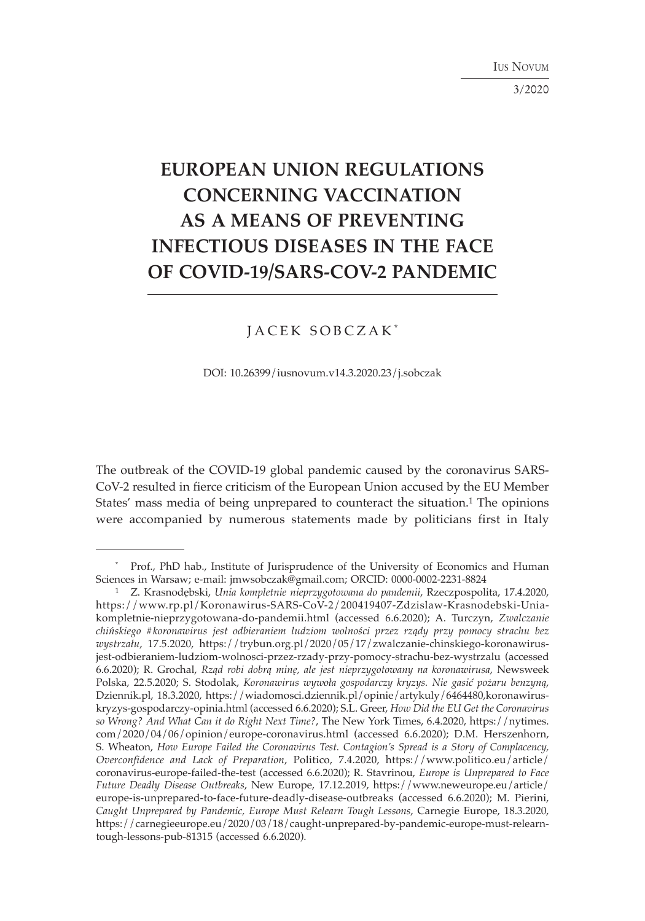IUS NOVUM

3/2020

# **EUROPEAN UNION REGULATIONS CONCERNING VACCINATION AS A MEANS OF PREVENTING INFECTIOUS DISEASES IN THE FACE OF COVID-19/SARS-COV-2 PANDEMIC**

# JACEK SOBCZAK \*

DOI: 10.26399/iusnovum.v14.3.2020.23/j.sobczak

The outbreak of the COVID-19 global pandemic caused by the coronavirus SARS-CoV-2 resulted in fierce criticism of the European Union accused by the EU Member States' mass media of being unprepared to counteract the situation.<sup>1</sup> The opinions were accompanied by numerous statements made by politicians first in Italy

<sup>\*</sup> Prof., PhD hab., Institute of Jurisprudence of the University of Economics and Human Sciences in Warsaw; e-mail: jmwsobczak@gmail.com; ORCID: 0000-0002-2231-8824

<sup>1</sup> Z. Krasnodębski, *Unia kompletnie nieprzygotowana do pandemii*, Rzeczpospolita, 17.4.2020, https://www.rp.pl/Koronawirus-SARS-CoV-2/200419407-Zdzislaw-Krasnodebski-Uniakompletnie-nieprzygotowana-do-pandemii.html (accessed 6.6.2020); A. Turczyn, *Zwalczanie chińskiego #koronawirus jest odbieraniem ludziom wolności przez rządy przy pomocy strachu bez wystrzału*, 17.5.2020, https://trybun.org.pl/2020/05/17/zwalczanie-chinskiego-koronawirusjest-odbieraniem-ludziom-wolnosci-przez-rzady-przy-pomocy-strachu-bez-wystrzalu (accessed 6.6.2020); R. Grochal, *Rząd robi dobrą minę, ale jest nieprzygotowany na koronawirusa*, Newsweek Polska, 22.5.2020; S. Stodolak, *Koronawirus wywoła gospodarczy kryzys. Nie gasić pożaru benzyną*, Dziennik.pl, 18.3.2020, https://wiadomosci.dziennik.pl/opinie/artykuly/6464480,koronawiruskryzys-gospodarczy-opinia.html (accessed 6.6.2020); S.L. Greer, *How Did the EU Get the Coronavirus so Wrong? And What Can it do Right Next Time?*, The New York Times, 6.4.2020, https://nytimes. com/2020/04/06/opinion/europe-coronavirus.html (accessed 6.6.2020); D.M. Herszenhorn, S. Wheaton, *How Europe Failed the Coronavirus Test. Contagion's Spread is a Story of Complacency, Overconfidence and Lack of Preparation*, Politico, 7.4.2020, https://www.politico.eu/article/ coronavirus-europe-failed-the-test (accessed 6.6.2020); R. Stavrinou, *Europe is Unprepared to Face Future Deadly Disease Outbreaks*, New Europe, 17.12.2019, https://www.neweurope.eu/article/ europe-is-unprepared-to-face-future-deadly-disease-outbreaks (accessed 6.6.2020); M. Pierini, *Caught Unprepared by Pandemic, Europe Must Relearn Tough Lessons*, Carnegie Europe, 18.3.2020, https://carnegieeurope.eu/2020/03/18/caught-unprepared-by-pandemic-europe-must-relearntough-lessons-pub-81315 (accessed 6.6.2020).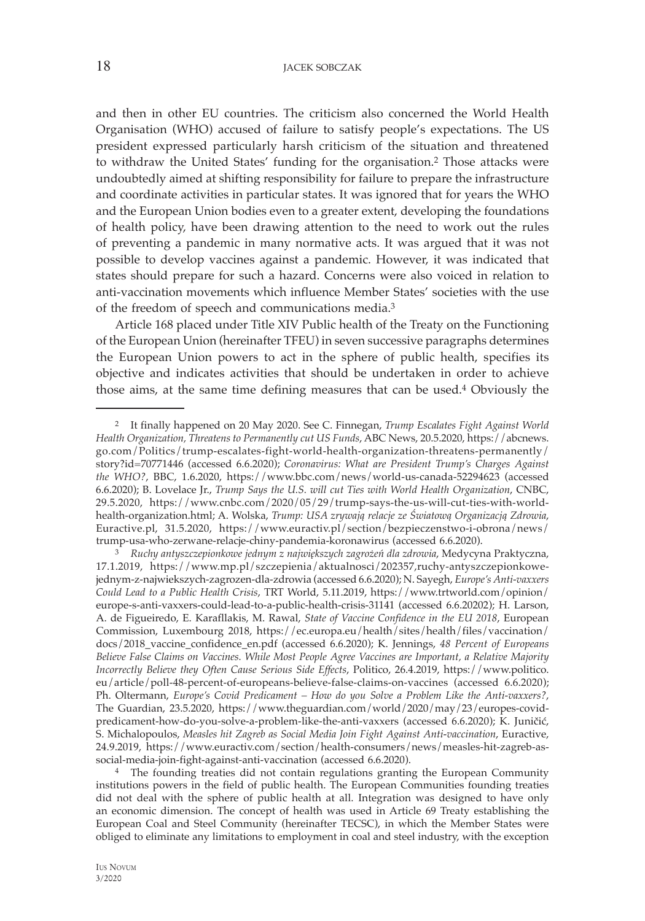and then in other EU countries. The criticism also concerned the World Health Organisation (WHO) accused of failure to satisfy people's expectations. The US president expressed particularly harsh criticism of the situation and threatened to withdraw the United States' funding for the organisation.2 Those attacks were undoubtedly aimed at shifting responsibility for failure to prepare the infrastructure and coordinate activities in particular states. It was ignored that for years the WHO and the European Union bodies even to a greater extent, developing the foundations of health policy, have been drawing attention to the need to work out the rules of preventing a pandemic in many normative acts. It was argued that it was not possible to develop vaccines against a pandemic. However, it was indicated that states should prepare for such a hazard. Concerns were also voiced in relation to anti-vaccination movements which influence Member States' societies with the use of the freedom of speech and communications media.3

Article 168 placed under Title XIV Public health of the Treaty on the Functioning of the European Union (hereinafter TFEU) in seven successive paragraphs determines the European Union powers to act in the sphere of public health, specifies its objective and indicates activities that should be undertaken in order to achieve those aims, at the same time defining measures that can be used.4 Obviously the

<sup>2</sup> It finally happened on 20 May 2020. See C. Finnegan, *Trump Escalates Fight Against World Health Organization, Threatens to Permanently cut US Funds*, ABC News, 20.5.2020, https://abcnews. go.com/Politics/trump-escalates-fight-world-health-organization-threatens-permanently/ story?id=70771446 (accessed 6.6.2020); *Coronavirus: What are President Trump's Charges Against the WHO?*, BBC, 1.6.2020, https://www.bbc.com/news/world-us-canada-52294623 (accessed 6.6.2020); B. Lovelace Jr., *Trump Says the U.S. will cut Ties with World Health Organization*, CNBC, 29.5.2020, https://www.cnbc.com/2020/05/29/trump-says-the-us-will-cut-ties-with-worldhealth-organization.html; A. Wolska, *Trump: USA zrywają relacje ze Światową Organizacją Zdrowia*, Euractive.pl, 31.5.2020, https://www.euractiv.pl/section/bezpieczenstwo-i-obrona/news/

trump-usa-who-zerwane-relacje-chiny-pandemia-koronawirus (accessed 6.6.2020). 3 *Ruchy antyszczepionkowe jednym z największych zagrożeń dla zdrowia*, Medycyna Praktyczna, 17.1.2019, https://www.mp.pl/szczepienia/aktualnosci/202357,ruchy-antyszczepionkowejednym-z-najwiekszych-zagrozen-dla-zdrowia (accessed 6.6.2020); N. Sayegh, *Europe's Anti-vaxxers Could Lead to a Public Health Crisis*, TRT World, 5.11.2019, https://www.trtworld.com/opinion/ europe-s-anti-vaxxers-could-lead-to-a-public-health-crisis-31141 (accessed 6.6.20202); H. Larson, A. de Figueiredo, E. Karafllakis, M. Rawal, *State of Vaccine Confidence in the EU 2018*, European Commission, Luxembourg 2018, https://ec.europa.eu/health/sites/health/files/vaccination/ docs/2018\_vaccine\_confidence\_en.pdf (accessed 6.6.2020); K. Jennings, *48 Percent of Europeans Believe False Claims on Vaccines. While Most People Agree Vaccines are Important, a Relative Majority Incorrectly Believe they Often Cause Serious Side Effects*, Politico, 26.4.2019, https://www.politico. eu/article/poll-48-percent-of-europeans-believe-false-claims-on-vaccines (accessed 6.6.2020); Ph. Oltermann, *Europe's Covid Predicament – How do you Solve a Problem Like the Anti-vaxxers?*, The Guardian, 23.5.2020, https://www.theguardian.com/world/2020/may/23/europes-covidpredicament-how-do-you-solve-a-problem-like-the-anti-vaxxers (accessed 6.6.2020); K. Juničić, S. Michalopoulos, *Measles hit Zagreb as Social Media Join Fight Against Anti-vaccination*, Euractive, 24.9.2019, https://www.euractiv.com/section/health-consumers/news/measles-hit-zagreb-associal-media-join-fight-against-anti-vaccination (accessed 6.6.2020).

<sup>4</sup> The founding treaties did not contain regulations granting the European Community institutions powers in the field of public health. The European Communities founding treaties did not deal with the sphere of public health at all. Integration was designed to have only an economic dimension. The concept of health was used in Article 69 Treaty establishing the European Coal and Steel Community (hereinafter TECSC), in which the Member States were obliged to eliminate any limitations to employment in coal and steel industry, with the exception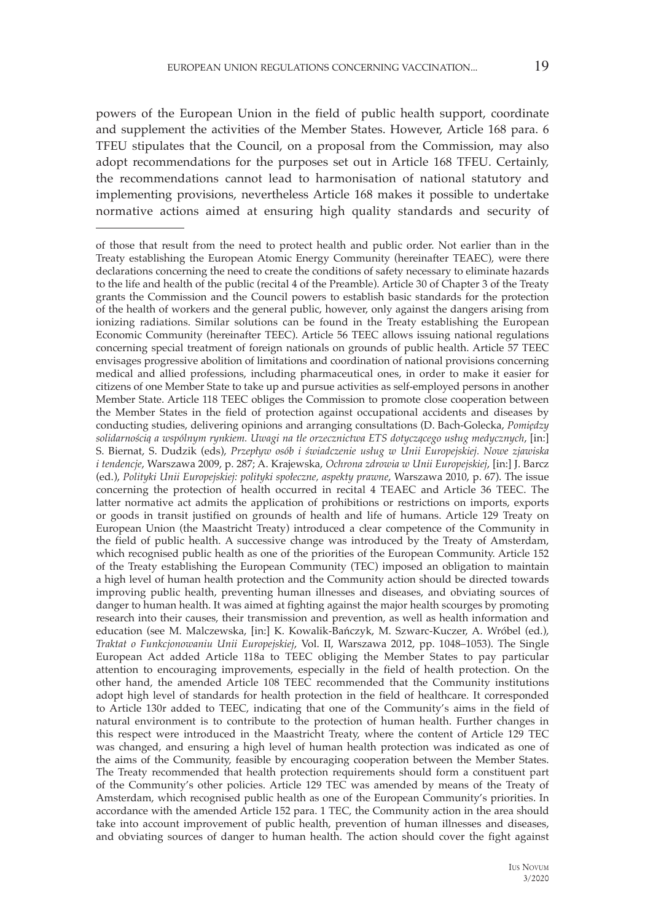powers of the European Union in the field of public health support, coordinate and supplement the activities of the Member States. However, Article 168 para. 6 TFEU stipulates that the Council, on a proposal from the Commission, may also adopt recommendations for the purposes set out in Article 168 TFEU. Certainly, the recommendations cannot lead to harmonisation of national statutory and implementing provisions, nevertheless Article 168 makes it possible to undertake normative actions aimed at ensuring high quality standards and security of

of those that result from the need to protect health and public order. Not earlier than in the Treaty establishing the European Atomic Energy Community (hereinafter TEAEC), were there declarations concerning the need to create the conditions of safety necessary to eliminate hazards to the life and health of the public (recital 4 of the Preamble). Article 30 of Chapter 3 of the Treaty grants the Commission and the Council powers to establish basic standards for the protection of the health of workers and the general public, however, only against the dangers arising from ionizing radiations. Similar solutions can be found in the Treaty establishing the European Economic Community (hereinafter TEEC). Article 56 TEEC allows issuing national regulations concerning special treatment of foreign nationals on grounds of public health. Article 57 TEEC envisages progressive abolition of limitations and coordination of national provisions concerning medical and allied professions, including pharmaceutical ones, in order to make it easier for citizens of one Member State to take up and pursue activities as self-employed persons in another Member State. Article 118 TEEC obliges the Commission to promote close cooperation between the Member States in the field of protection against occupational accidents and diseases by conducting studies, delivering opinions and arranging consultations (D. Bach-Golecka, *Pomiędzy solidarnością a wspólnym rynkiem. Uwagi na tle orzecznictwa ETS dotyczącego usług medycznych*, [in:] S. Biernat, S. Dudzik (eds), *Przepływ osób i świadczenie usług w Unii Europejskiej. Nowe zjawiska i tendencje*, Warszawa 2009, p. 287; A. Krajewska, *Ochrona zdrowia w Unii Europejskiej*, [in:] J. Barcz (ed.), *Polityki Unii Europejskiej: polityki społeczne, aspekty prawne*, Warszawa 2010, p. 67). The issue concerning the protection of health occurred in recital 4 TEAEC and Article 36 TEEC. The latter normative act admits the application of prohibitions or restrictions on imports, exports or goods in transit justified on grounds of health and life of humans. Article 129 Treaty on European Union (the Maastricht Treaty) introduced a clear competence of the Community in the field of public health. A successive change was introduced by the Treaty of Amsterdam, which recognised public health as one of the priorities of the European Community. Article 152 of the Treaty establishing the European Community (TEC) imposed an obligation to maintain a high level of human health protection and the Community action should be directed towards improving public health, preventing human illnesses and diseases, and obviating sources of danger to human health. It was aimed at fighting against the major health scourges by promoting research into their causes, their transmission and prevention, as well as health information and education (see M. Malczewska, [in:] K. Kowalik-Bańczyk, M. Szwarc-Kuczer, A. Wróbel (ed.), *Traktat o Funkcjonowaniu Unii Europejskiej*, Vol. II, Warszawa 2012, pp. 1048–1053). The Single European Act added Article 118a to TEEC obliging the Member States to pay particular attention to encouraging improvements, especially in the field of health protection. On the other hand, the amended Article 108 TEEC recommended that the Community institutions adopt high level of standards for health protection in the field of healthcare. It corresponded to Article 130r added to TEEC, indicating that one of the Community's aims in the field of natural environment is to contribute to the protection of human health. Further changes in this respect were introduced in the Maastricht Treaty, where the content of Article 129 TEC was changed, and ensuring a high level of human health protection was indicated as one of the aims of the Community, feasible by encouraging cooperation between the Member States. The Treaty recommended that health protection requirements should form a constituent part of the Community's other policies. Article 129 TEC was amended by means of the Treaty of Amsterdam, which recognised public health as one of the European Community's priorities. In accordance with the amended Article 152 para. 1 TEC, the Community action in the area should take into account improvement of public health, prevention of human illnesses and diseases, and obviating sources of danger to human health. The action should cover the fight against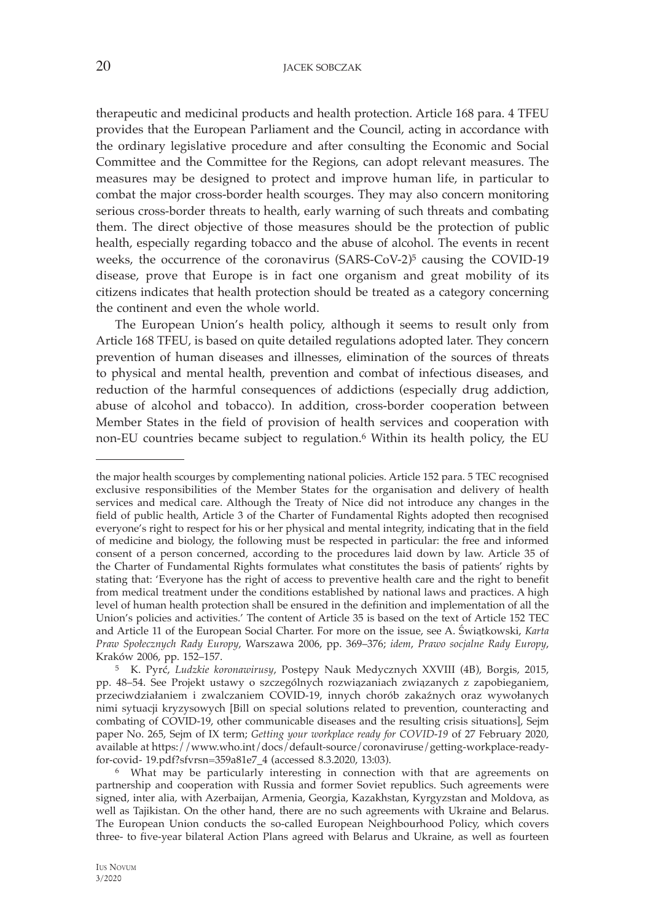therapeutic and medicinal products and health protection. Article 168 para. 4 TFEU provides that the European Parliament and the Council, acting in accordance with the ordinary legislative procedure and after consulting the Economic and Social Committee and the Committee for the Regions, can adopt relevant measures. The measures may be designed to protect and improve human life, in particular to combat the major cross-border health scourges. They may also concern monitoring serious cross-border threats to health, early warning of such threats and combating them. The direct objective of those measures should be the protection of public health, especially regarding tobacco and the abuse of alcohol. The events in recent weeks, the occurrence of the coronavirus  $(SARS-CoV-2)^5$  causing the COVID-19 disease, prove that Europe is in fact one organism and great mobility of its citizens indicates that health protection should be treated as a category concerning the continent and even the whole world.

The European Union's health policy, although it seems to result only from Article 168 TFEU, is based on quite detailed regulations adopted later. They concern prevention of human diseases and illnesses, elimination of the sources of threats to physical and mental health, prevention and combat of infectious diseases, and reduction of the harmful consequences of addictions (especially drug addiction, abuse of alcohol and tobacco). In addition, cross-border cooperation between Member States in the field of provision of health services and cooperation with non-EU countries became subject to regulation.6 Within its health policy, the EU

the major health scourges by complementing national policies. Article 152 para. 5 TEC recognised exclusive responsibilities of the Member States for the organisation and delivery of health services and medical care. Although the Treaty of Nice did not introduce any changes in the field of public health, Article 3 of the Charter of Fundamental Rights adopted then recognised everyone's right to respect for his or her physical and mental integrity, indicating that in the field of medicine and biology, the following must be respected in particular: the free and informed consent of a person concerned, according to the procedures laid down by law. Article 35 of the Charter of Fundamental Rights formulates what constitutes the basis of patients' rights by stating that: 'Everyone has the right of access to preventive health care and the right to benefit from medical treatment under the conditions established by national laws and practices. A high level of human health protection shall be ensured in the definition and implementation of all the Union's policies and activities.' The content of Article 35 is based on the text of Article 152 TEC and Article 11 of the European Social Charter. For more on the issue, see A. Świątkowski, *Karta Praw Społecznych Rady Europy*, Warszawa 2006, pp. 369–376; *idem*, *Prawo socjalne Rady Europy*, Kraków 2006, pp. 152–157. 5 K. Pyrć, *Ludzkie koronawirusy*, Postępy Nauk Medycznych XXVIII (4B), Borgis, 2015,

pp. 48–54. See Projekt ustawy o szczególnych rozwiązaniach związanych z zapobieganiem, przeciwdziałaniem i zwalczaniem COVID-19, innych chorób zakaźnych oraz wywołanych nimi sytuacji kryzysowych [Bill on special solutions related to prevention, counteracting and combating of COVID-19, other communicable diseases and the resulting crisis situations], Sejm paper No. 265, Sejm of IX term; *Getting your workplace ready for COVID-19* of 27 February 2020, available at https://www.who.int/docs/default-source/coronaviruse/getting-workplace-ready-<br>for-covid- 19.pdf?sfvrsn=359a81e7\_4 (accessed 8.3.2020, 13:03).

<sup>&</sup>lt;sup>6</sup> What may be particularly interesting in connection with that are agreements on partnership and cooperation with Russia and former Soviet republics. Such agreements were signed, inter alia, with Azerbaijan, Armenia, Georgia, Kazakhstan, Kyrgyzstan and Moldova, as well as Tajikistan. On the other hand, there are no such agreements with Ukraine and Belarus. The European Union conducts the so-called European Neighbourhood Policy, which covers three- to five-year bilateral Action Plans agreed with Belarus and Ukraine, as well as fourteen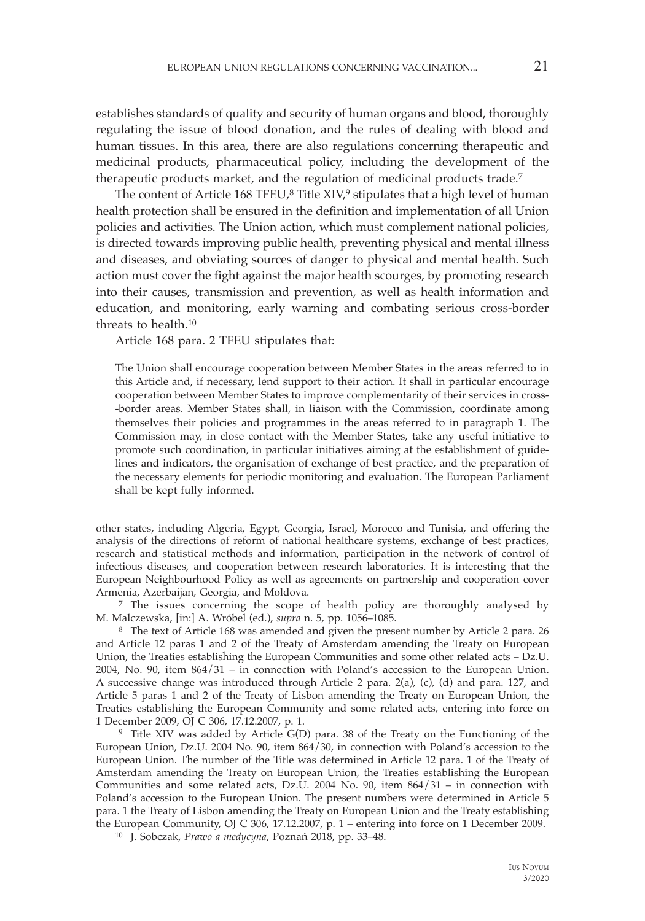establishes standards of quality and security of human organs and blood, thoroughly regulating the issue of blood donation, and the rules of dealing with blood and human tissues. In this area, there are also regulations concerning therapeutic and medicinal products, pharmaceutical policy, including the development of the therapeutic products market, and the regulation of medicinal products trade.7

The content of Article  $168$  TFEU, $8$  Title XIV, $9$  stipulates that a high level of human health protection shall be ensured in the definition and implementation of all Union policies and activities. The Union action, which must complement national policies, is directed towards improving public health, preventing physical and mental illness and diseases, and obviating sources of danger to physical and mental health. Such action must cover the fight against the major health scourges, by promoting research into their causes, transmission and prevention, as well as health information and education, and monitoring, early warning and combating serious cross-border threats to health.10

Article 168 para. 2 TFEU stipulates that:

The Union shall encourage cooperation between Member States in the areas referred to in this Article and, if necessary, lend support to their action. It shall in particular encourage cooperation between Member States to improve complementarity of their services in cross- -border areas. Member States shall, in liaison with the Commission, coordinate among themselves their policies and programmes in the areas referred to in paragraph 1. The Commission may, in close contact with the Member States, take any useful initiative to promote such coordination, in particular initiatives aiming at the establishment of guidelines and indicators, the organisation of exchange of best practice, and the preparation of the necessary elements for periodic monitoring and evaluation. The European Parliament shall be kept fully informed.

Armenia, Azerbaijan, Georgia, and Moldova.<br><sup>7</sup> The issues concerning the scope of health policy are thoroughly analysed by M. Malczewska, [in:] A. Wróbel (ed.), *supra* n. 5, pp. 1056–1085.

<sup>8</sup> The text of Article 168 was amended and given the present number by Article 2 para. 26 and Article 12 paras 1 and 2 of the Treaty of Amsterdam amending the Treaty on European Union, the Treaties establishing the European Communities and some other related acts – Dz.U. 2004, No. 90, item 864/31 – in connection with Poland's accession to the European Union. A successive change was introduced through Article 2 para. 2(a), (c), (d) and para. 127, and Article 5 paras 1 and 2 of the Treaty of Lisbon amending the Treaty on European Union, the Treaties establishing the European Community and some related acts, entering into force on 1 December 2009, OJ C 306, 17.12.2007, p. 1.<br><sup>9</sup> Title XIV was added by Article G(D) para. 38 of the Treaty on the Functioning of the

European Union, Dz.U. 2004 No. 90, item 864/30, in connection with Poland's accession to the European Union. The number of the Title was determined in Article 12 para. 1 of the Treaty of Amsterdam amending the Treaty on European Union, the Treaties establishing the European Communities and some related acts, Dz.U. 2004 No. 90, item 864/31 – in connection with Poland's accession to the European Union. The present numbers were determined in Article 5 para. 1 the Treaty of Lisbon amending the Treaty on European Union and the Treaty establishing the European Community, OJ C 306, 17.12.2007, p. 1 – entering into force on 1 December 2009.

10 J. Sobczak, *Prawo a medycyna*, Poznań 2018, pp. 33–48.

other states, including Algeria, Egypt, Georgia, Israel, Morocco and Tunisia, and offering the analysis of the directions of reform of national healthcare systems, exchange of best practices, research and statistical methods and information, participation in the network of control of infectious diseases, and cooperation between research laboratories. It is interesting that the European Neighbourhood Policy as well as agreements on partnership and cooperation cover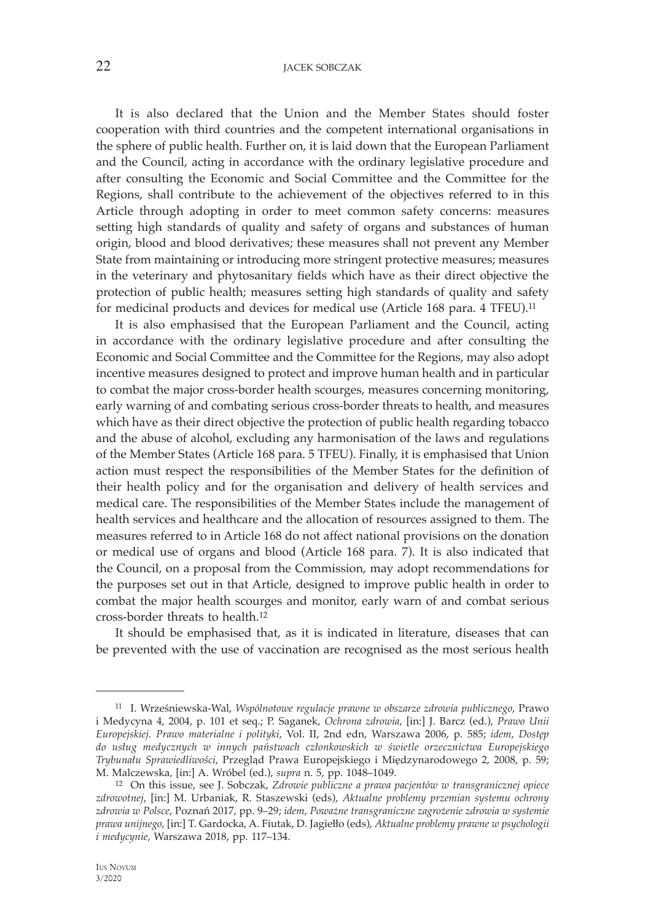## 22 **JACEK SOBCZAK**

It is also declared that the Union and the Member States should foster cooperation with third countries and the competent international organisations in the sphere of public health. Further on, it is laid down that the European Parliament and the Council, acting in accordance with the ordinary legislative procedure and after consulting the Economic and Social Committee and the Committee for the Regions, shall contribute to the achievement of the objectives referred to in this Article through adopting in order to meet common safety concerns: measures setting high standards of quality and safety of organs and substances of human origin, blood and blood derivatives; these measures shall not prevent any Member State from maintaining or introducing more stringent protective measures; measures in the veterinary and phytosanitary fields which have as their direct objective the protection of public health; measures setting high standards of quality and safety for medicinal products and devices for medical use (Article 168 para. 4 TFEU).11

It is also emphasised that the European Parliament and the Council, acting in accordance with the ordinary legislative procedure and after consulting the Economic and Social Committee and the Committee for the Regions, may also adopt incentive measures designed to protect and improve human health and in particular to combat the major cross-border health scourges, measures concerning monitoring, early warning of and combating serious cross-border threats to health, and measures which have as their direct objective the protection of public health regarding tobacco and the abuse of alcohol, excluding any harmonisation of the laws and regulations of the Member States (Article 168 para. 5 TFEU). Finally, it is emphasised that Union action must respect the responsibilities of the Member States for the definition of their health policy and for the organisation and delivery of health services and medical care. The responsibilities of the Member States include the management of health services and healthcare and the allocation of resources assigned to them. The measures referred to in Article 168 do not affect national provisions on the donation or medical use of organs and blood (Article 168 para. 7). It is also indicated that the Council, on a proposal from the Commission, may adopt recommendations for the purposes set out in that Article, designed to improve public health in order to combat the major health scourges and monitor, early warn of and combat serious cross-border threats to health.12

It should be emphasised that, as it is indicated in literature, diseases that can be prevented with the use of vaccination are recognised as the most serious health

<sup>11</sup> I. Wrześniewska-Wal, *Wspólnotowe regulacje prawne w obszarze zdrowia publicznego*, Prawo i Medycyna 4, 2004, p. 101 et seq.; P. Saganek, *Ochrona zdrowia*, [in:] J. Barcz (ed.), *Prawo Unii Europejskiej. Prawo materialne i polityki*, Vol. II, 2nd edn, Warszawa 2006, p. 585; *idem*, *Dostęp do usług medycznych w innych państwach członkowskich w świetle orzecznictwa Europejskiego Trybunału Sprawiedliwości*, Przegląd Prawa Europejskiego i Międzynarodowego 2, 2008, p. 59; M. Malczewska, [in:] A. Wróbel (ed.), *supra* n. 5, pp. 1048–1049.

<sup>12</sup> On this issue, see J. Sobczak, *Zdrowie publiczne a prawa pacjentów w transgranicznej opiece zdrowotnej*, [in:] M. Urbaniak, R. Staszewski (eds), *Aktualne problemy przemian systemu ochrony zdrowia w Polsce*, Poznań 2017, pp. 9–29; *idem*, *Poważne transgraniczne zagrożenie zdrowia w systemie prawa unijnego*, [in:] T. Gardocka, A. Fiutak, D. Jagiełło (eds), *Aktualne problemy prawne w psychologii i medycynie*, Warszawa 2018, pp. 117–134.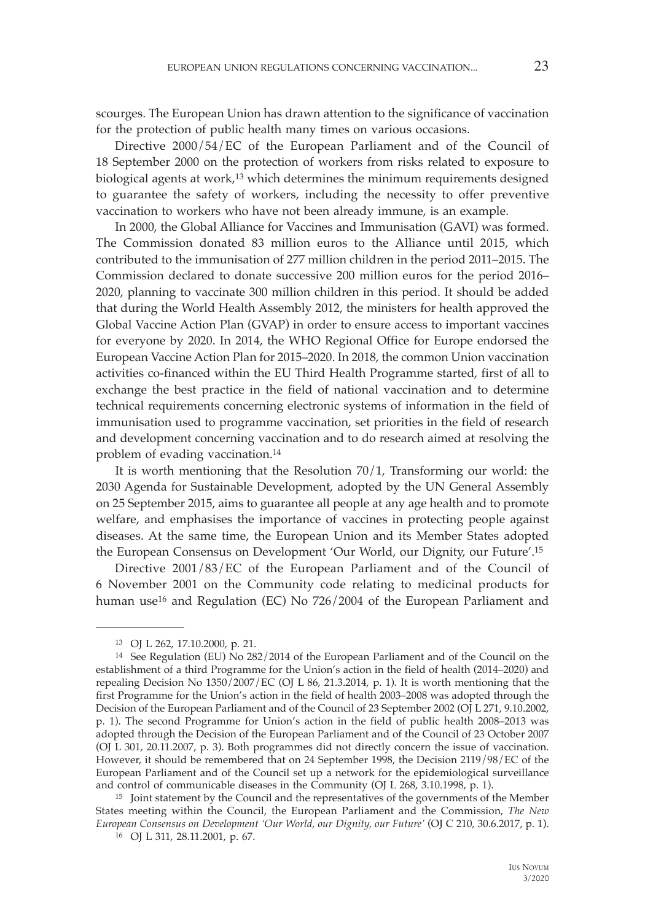scourges. The European Union has drawn attention to the significance of vaccination for the protection of public health many times on various occasions.

Directive 2000/54/EC of the European Parliament and of the Council of 18 September 2000 on the protection of workers from risks related to exposure to biological agents at work,13 which determines the minimum requirements designed to guarantee the safety of workers, including the necessity to offer preventive vaccination to workers who have not been already immune, is an example.

In 2000, the Global Alliance for Vaccines and Immunisation (GAVI) was formed. The Commission donated 83 million euros to the Alliance until 2015, which contributed to the immunisation of 277 million children in the period 2011–2015. The Commission declared to donate successive 200 million euros for the period 2016– 2020, planning to vaccinate 300 million children in this period. It should be added that during the World Health Assembly 2012, the ministers for health approved the Global Vaccine Action Plan (GVAP) in order to ensure access to important vaccines for everyone by 2020. In 2014, the WHO Regional Office for Europe endorsed the European Vaccine Action Plan for 2015–2020. In 2018, the common Union vaccination activities co-financed within the EU Third Health Programme started, first of all to exchange the best practice in the field of national vaccination and to determine technical requirements concerning electronic systems of information in the field of immunisation used to programme vaccination, set priorities in the field of research and development concerning vaccination and to do research aimed at resolving the problem of evading vaccination.14

It is worth mentioning that the Resolution  $70/1$ , Transforming our world: the 2030 Agenda for Sustainable Development, adopted by the UN General Assembly on 25 September 2015, aims to guarantee all people at any age health and to promote welfare, and emphasises the importance of vaccines in protecting people against diseases. At the same time, the European Union and its Member States adopted the European Consensus on Development 'Our World, our Dignity, our Future'.15

Directive 2001/83/EC of the European Parliament and of the Council of 6 November 2001 on the Community code relating to medicinal products for human use<sup>16</sup> and Regulation (EC) No 726/2004 of the European Parliament and

<sup>13</sup> OJ L 262, 17.10.2000, p. 21.

<sup>14</sup> See Regulation (EU) No 282/2014 of the European Parliament and of the Council on the establishment of a third Programme for the Union's action in the field of health (2014–2020) and repealing Decision No 1350/2007/EC (OJ L 86, 21.3.2014, p. 1). It is worth mentioning that the first Programme for the Union's action in the field of health 2003–2008 was adopted through the Decision of the European Parliament and of the Council of 23 September 2002 (OJ L 271, 9.10.2002, p. 1). The second Programme for Union's action in the field of public health 2008–2013 was adopted through the Decision of the European Parliament and of the Council of 23 October 2007 (OJ L 301, 20.11.2007, p. 3). Both programmes did not directly concern the issue of vaccination. However, it should be remembered that on 24 September 1998, the Decision 2119/98/EC of the European Parliament and of the Council set up a network for the epidemiological surveillance and control of communicable diseases in the Community (OJ L 268, 3.10.1998, p. 1).<br><sup>15</sup> Joint statement by the Council and the representatives of the governments of the Member

States meeting within the Council, the European Parliament and the Commission, *The New European Consensus on Development 'Our World, our Dignity, our Future'* (OJ C 210, 30.6.2017, p. 1). 16 OJ L 311, 28.11.2001, p. 67.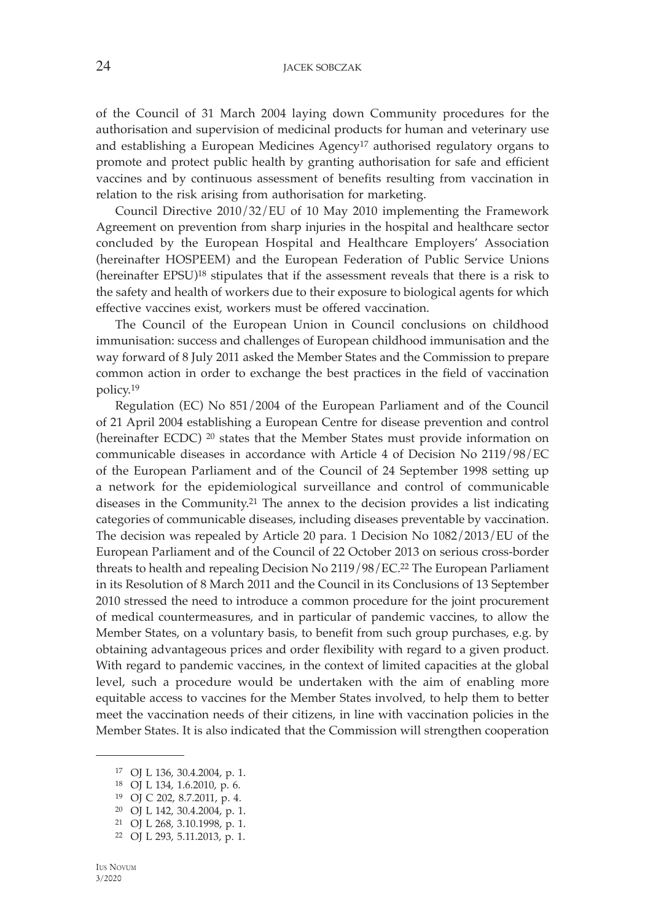of the Council of 31 March 2004 laying down Community procedures for the authorisation and supervision of medicinal products for human and veterinary use and establishing a European Medicines Agency17 authorised regulatory organs to promote and protect public health by granting authorisation for safe and efficient vaccines and by continuous assessment of benefits resulting from vaccination in relation to the risk arising from authorisation for marketing.

Council Directive 2010/32/EU of 10 May 2010 implementing the Framework Agreement on prevention from sharp injuries in the hospital and healthcare sector concluded by the European Hospital and Healthcare Employers' Association (hereinafter HOSPEEM) and the European Federation of Public Service Unions (hereinafter EPSU)18 stipulates that if the assessment reveals that there is a risk to the safety and health of workers due to their exposure to biological agents for which effective vaccines exist, workers must be offered vaccination.

The Council of the European Union in Council conclusions on childhood immunisation: success and challenges of European childhood immunisation and the way forward of 8 July 2011 asked the Member States and the Commission to prepare common action in order to exchange the best practices in the field of vaccination policy.19

Regulation (EC) No 851/2004 of the European Parliament and of the Council of 21 April 2004 establishing a European Centre for disease prevention and control (hereinafter ECDC) 20 states that the Member States must provide information on communicable diseases in accordance with Article 4 of Decision No 2119/98/EC of the European Parliament and of the Council of 24 September 1998 setting up a network for the epidemiological surveillance and control of communicable diseases in the Community.21 The annex to the decision provides a list indicating categories of communicable diseases, including diseases preventable by vaccination. The decision was repealed by Article 20 para. 1 Decision No 1082/2013/EU of the European Parliament and of the Council of 22 October 2013 on serious cross-border threats to health and repealing Decision No 2119/98/EC.22 The European Parliament in its Resolution of 8 March 2011 and the Council in its Conclusions of 13 September 2010 stressed the need to introduce a common procedure for the joint procurement of medical countermeasures, and in particular of pandemic vaccines, to allow the Member States, on a voluntary basis, to benefit from such group purchases, e.g. by obtaining advantageous prices and order flexibility with regard to a given product. With regard to pandemic vaccines, in the context of limited capacities at the global level, such a procedure would be undertaken with the aim of enabling more equitable access to vaccines for the Member States involved, to help them to better meet the vaccination needs of their citizens, in line with vaccination policies in the Member States. It is also indicated that the Commission will strengthen cooperation

<sup>17</sup> OJ L 136, 30.4.2004, p. 1.

<sup>18</sup> OJ L 134, 1.6.2010, p. 6.

<sup>19</sup> OJ C 202, 8.7.2011, p. 4.

<sup>20</sup> OJ L 142, 30.4.2004, p. 1.

<sup>21</sup> OJ L 268, 3.10.1998, p. 1.

<sup>22</sup> OJ L 293, 5.11.2013, p. 1.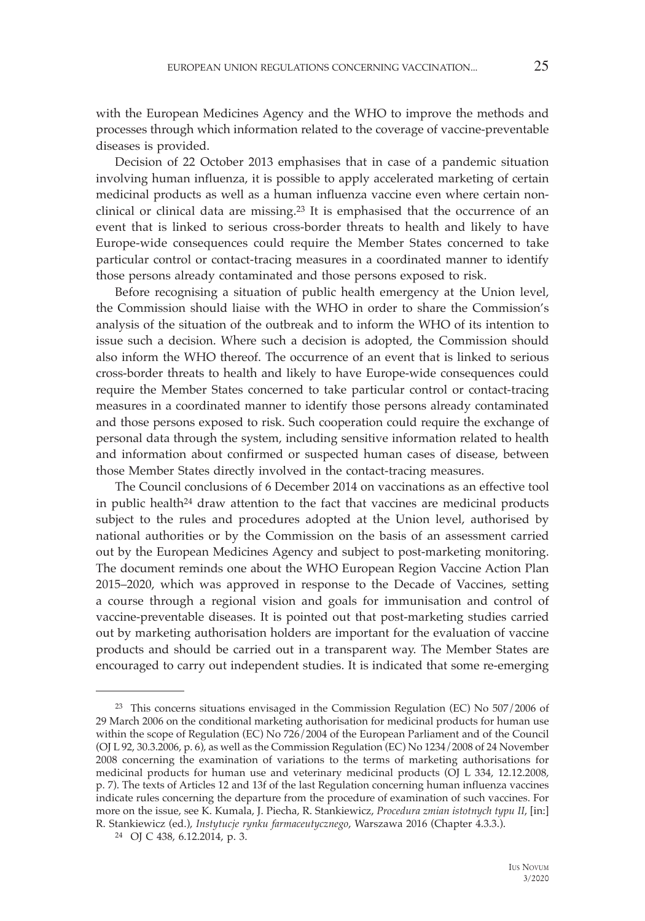with the European Medicines Agency and the WHO to improve the methods and processes through which information related to the coverage of vaccine-preventable diseases is provided.

Decision of 22 October 2013 emphasises that in case of a pandemic situation involving human influenza, it is possible to apply accelerated marketing of certain medicinal products as well as a human influenza vaccine even where certain nonclinical or clinical data are missing.23 It is emphasised that the occurrence of an event that is linked to serious cross-border threats to health and likely to have Europe-wide consequences could require the Member States concerned to take particular control or contact-tracing measures in a coordinated manner to identify those persons already contaminated and those persons exposed to risk.

Before recognising a situation of public health emergency at the Union level, the Commission should liaise with the WHO in order to share the Commission's analysis of the situation of the outbreak and to inform the WHO of its intention to issue such a decision. Where such a decision is adopted, the Commission should also inform the WHO thereof. The occurrence of an event that is linked to serious cross-border threats to health and likely to have Europe-wide consequences could require the Member States concerned to take particular control or contact-tracing measures in a coordinated manner to identify those persons already contaminated and those persons exposed to risk. Such cooperation could require the exchange of personal data through the system, including sensitive information related to health and information about confirmed or suspected human cases of disease, between those Member States directly involved in the contact-tracing measures.

The Council conclusions of 6 December 2014 on vaccinations as an effective tool in public health $24$  draw attention to the fact that vaccines are medicinal products subject to the rules and procedures adopted at the Union level, authorised by national authorities or by the Commission on the basis of an assessment carried out by the European Medicines Agency and subject to post-marketing monitoring. The document reminds one about the WHO European Region Vaccine Action Plan 2015–2020, which was approved in response to the Decade of Vaccines, setting a course through a regional vision and goals for immunisation and control of vaccine-preventable diseases. It is pointed out that post-marketing studies carried out by marketing authorisation holders are important for the evaluation of vaccine products and should be carried out in a transparent way. The Member States are encouraged to carry out independent studies. It is indicated that some re-emerging

<sup>23</sup> This concerns situations envisaged in the Commission Regulation (EC) No 507/2006 of 29 March 2006 on the conditional marketing authorisation for medicinal products for human use within the scope of Regulation (EC) No 726/2004 of the European Parliament and of the Council (OJ L 92, 30.3.2006, p. 6), as well as the Commission Regulation (EC) No 1234/2008 of 24 November 2008 concerning the examination of variations to the terms of marketing authorisations for medicinal products for human use and veterinary medicinal products (OJ L 334, 12.12.2008, p. 7). The texts of Articles 12 and 13f of the last Regulation concerning human influenza vaccines indicate rules concerning the departure from the procedure of examination of such vaccines. For more on the issue, see K. Kumala, J. Piecha, R. Stankiewicz, *Procedura zmian istotnych typu II*, [in:] R. Stankiewicz (ed.), *Instytucje rynku farmaceutycznego*, Warszawa 2016 (Chapter 4.3.3.). 24 OJ C 438, 6.12.2014, p. 3.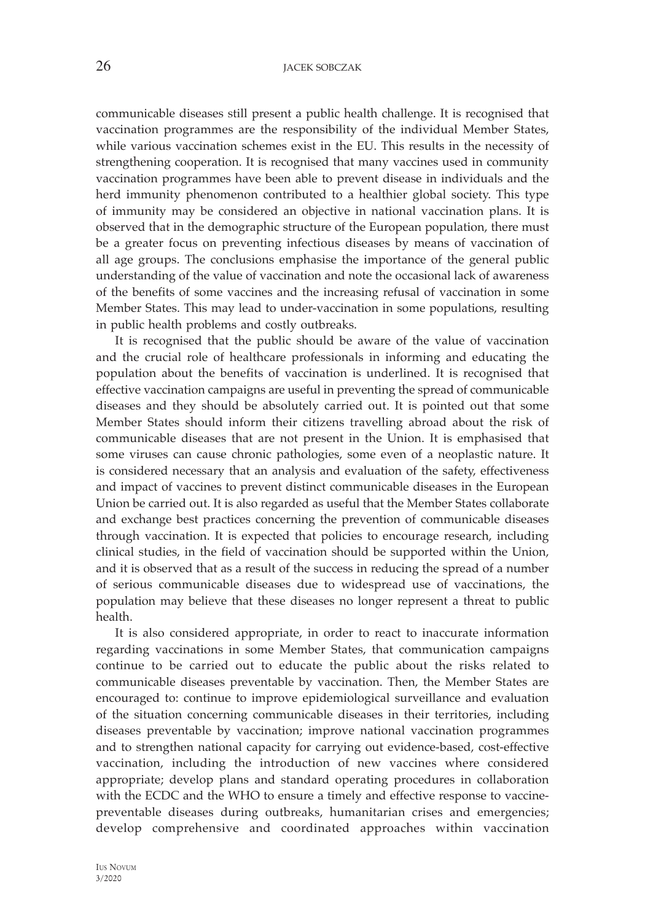communicable diseases still present a public health challenge. It is recognised that vaccination programmes are the responsibility of the individual Member States, while various vaccination schemes exist in the EU. This results in the necessity of strengthening cooperation. It is recognised that many vaccines used in community vaccination programmes have been able to prevent disease in individuals and the herd immunity phenomenon contributed to a healthier global society. This type of immunity may be considered an objective in national vaccination plans. It is observed that in the demographic structure of the European population, there must be a greater focus on preventing infectious diseases by means of vaccination of all age groups. The conclusions emphasise the importance of the general public understanding of the value of vaccination and note the occasional lack of awareness of the benefits of some vaccines and the increasing refusal of vaccination in some Member States. This may lead to under-vaccination in some populations, resulting in public health problems and costly outbreaks.

It is recognised that the public should be aware of the value of vaccination and the crucial role of healthcare professionals in informing and educating the population about the benefits of vaccination is underlined. It is recognised that effective vaccination campaigns are useful in preventing the spread of communicable diseases and they should be absolutely carried out. It is pointed out that some Member States should inform their citizens travelling abroad about the risk of communicable diseases that are not present in the Union. It is emphasised that some viruses can cause chronic pathologies, some even of a neoplastic nature. It is considered necessary that an analysis and evaluation of the safety, effectiveness and impact of vaccines to prevent distinct communicable diseases in the European Union be carried out. It is also regarded as useful that the Member States collaborate and exchange best practices concerning the prevention of communicable diseases through vaccination. It is expected that policies to encourage research, including clinical studies, in the field of vaccination should be supported within the Union, and it is observed that as a result of the success in reducing the spread of a number of serious communicable diseases due to widespread use of vaccinations, the population may believe that these diseases no longer represent a threat to public health.

It is also considered appropriate, in order to react to inaccurate information regarding vaccinations in some Member States, that communication campaigns continue to be carried out to educate the public about the risks related to communicable diseases preventable by vaccination. Then, the Member States are encouraged to: continue to improve epidemiological surveillance and evaluation of the situation concerning communicable diseases in their territories, including diseases preventable by vaccination; improve national vaccination programmes and to strengthen national capacity for carrying out evidence-based, cost-effective vaccination, including the introduction of new vaccines where considered appropriate; develop plans and standard operating procedures in collaboration with the ECDC and the WHO to ensure a timely and effective response to vaccinepreventable diseases during outbreaks, humanitarian crises and emergencies; develop comprehensive and coordinated approaches within vaccination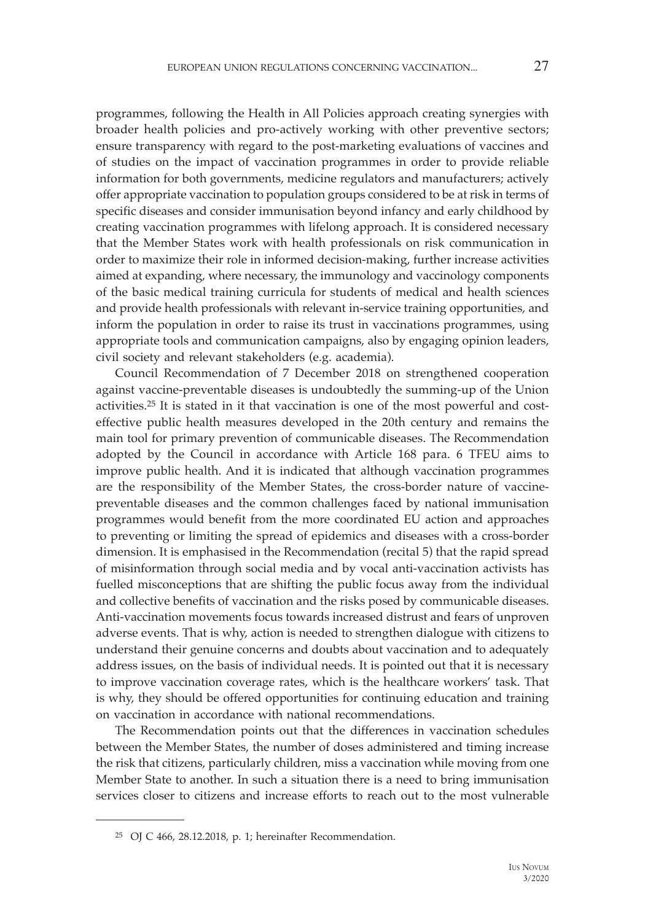programmes, following the Health in All Policies approach creating synergies with broader health policies and pro-actively working with other preventive sectors; ensure transparency with regard to the post-marketing evaluations of vaccines and of studies on the impact of vaccination programmes in order to provide reliable information for both governments, medicine regulators and manufacturers; actively offer appropriate vaccination to population groups considered to be at risk in terms of specific diseases and consider immunisation beyond infancy and early childhood by creating vaccination programmes with lifelong approach. It is considered necessary that the Member States work with health professionals on risk communication in order to maximize their role in informed decision-making, further increase activities aimed at expanding, where necessary, the immunology and vaccinology components of the basic medical training curricula for students of medical and health sciences and provide health professionals with relevant in-service training opportunities, and inform the population in order to raise its trust in vaccinations programmes, using appropriate tools and communication campaigns, also by engaging opinion leaders, civil society and relevant stakeholders (e.g. academia).

Council Recommendation of 7 December 2018 on strengthened cooperation against vaccine-preventable diseases is undoubtedly the summing-up of the Union activities.25 It is stated in it that vaccination is one of the most powerful and costeffective public health measures developed in the 20th century and remains the main tool for primary prevention of communicable diseases. The Recommendation adopted by the Council in accordance with Article 168 para. 6 TFEU aims to improve public health. And it is indicated that although vaccination programmes are the responsibility of the Member States, the cross-border nature of vaccinepreventable diseases and the common challenges faced by national immunisation programmes would benefit from the more coordinated EU action and approaches to preventing or limiting the spread of epidemics and diseases with a cross-border dimension. It is emphasised in the Recommendation (recital 5) that the rapid spread of misinformation through social media and by vocal anti-vaccination activists has fuelled misconceptions that are shifting the public focus away from the individual and collective benefits of vaccination and the risks posed by communicable diseases. Anti-vaccination movements focus towards increased distrust and fears of unproven adverse events. That is why, action is needed to strengthen dialogue with citizens to understand their genuine concerns and doubts about vaccination and to adequately address issues, on the basis of individual needs. It is pointed out that it is necessary to improve vaccination coverage rates, which is the healthcare workers' task. That is why, they should be offered opportunities for continuing education and training on vaccination in accordance with national recommendations.

The Recommendation points out that the differences in vaccination schedules between the Member States, the number of doses administered and timing increase the risk that citizens, particularly children, miss a vaccination while moving from one Member State to another. In such a situation there is a need to bring immunisation services closer to citizens and increase efforts to reach out to the most vulnerable

<sup>25</sup> OJ C 466, 28.12.2018, p. 1; hereinafter Recommendation.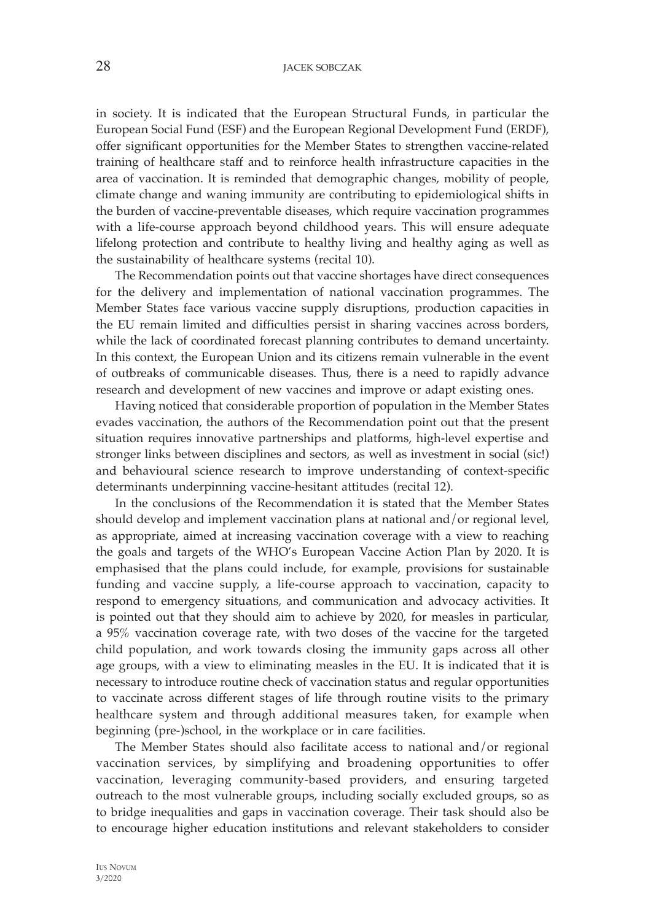28 **JACEK SOBCZAK** 

in society. It is indicated that the European Structural Funds, in particular the European Social Fund (ESF) and the European Regional Development Fund (ERDF), offer significant opportunities for the Member States to strengthen vaccine-related training of healthcare staff and to reinforce health infrastructure capacities in the area of vaccination. It is reminded that demographic changes, mobility of people, climate change and waning immunity are contributing to epidemiological shifts in the burden of vaccine-preventable diseases, which require vaccination programmes with a life-course approach beyond childhood years. This will ensure adequate lifelong protection and contribute to healthy living and healthy aging as well as the sustainability of healthcare systems (recital 10).

The Recommendation points out that vaccine shortages have direct consequences for the delivery and implementation of national vaccination programmes. The Member States face various vaccine supply disruptions, production capacities in the EU remain limited and difficulties persist in sharing vaccines across borders, while the lack of coordinated forecast planning contributes to demand uncertainty. In this context, the European Union and its citizens remain vulnerable in the event of outbreaks of communicable diseases. Thus, there is a need to rapidly advance research and development of new vaccines and improve or adapt existing ones.

Having noticed that considerable proportion of population in the Member States evades vaccination, the authors of the Recommendation point out that the present situation requires innovative partnerships and platforms, high-level expertise and stronger links between disciplines and sectors, as well as investment in social (sic!) and behavioural science research to improve understanding of context-specific determinants underpinning vaccine-hesitant attitudes (recital 12).

In the conclusions of the Recommendation it is stated that the Member States should develop and implement vaccination plans at national and/or regional level, as appropriate, aimed at increasing vaccination coverage with a view to reaching the goals and targets of the WHO's European Vaccine Action Plan by 2020. It is emphasised that the plans could include, for example, provisions for sustainable funding and vaccine supply, a life-course approach to vaccination, capacity to respond to emergency situations, and communication and advocacy activities. It is pointed out that they should aim to achieve by 2020, for measles in particular, a 95% vaccination coverage rate, with two doses of the vaccine for the targeted child population, and work towards closing the immunity gaps across all other age groups, with a view to eliminating measles in the EU. It is indicated that it is necessary to introduce routine check of vaccination status and regular opportunities to vaccinate across different stages of life through routine visits to the primary healthcare system and through additional measures taken, for example when beginning (pre-)school, in the workplace or in care facilities.

The Member States should also facilitate access to national and/or regional vaccination services, by simplifying and broadening opportunities to offer vaccination, leveraging community-based providers, and ensuring targeted outreach to the most vulnerable groups, including socially excluded groups, so as to bridge inequalities and gaps in vaccination coverage. Their task should also be to encourage higher education institutions and relevant stakeholders to consider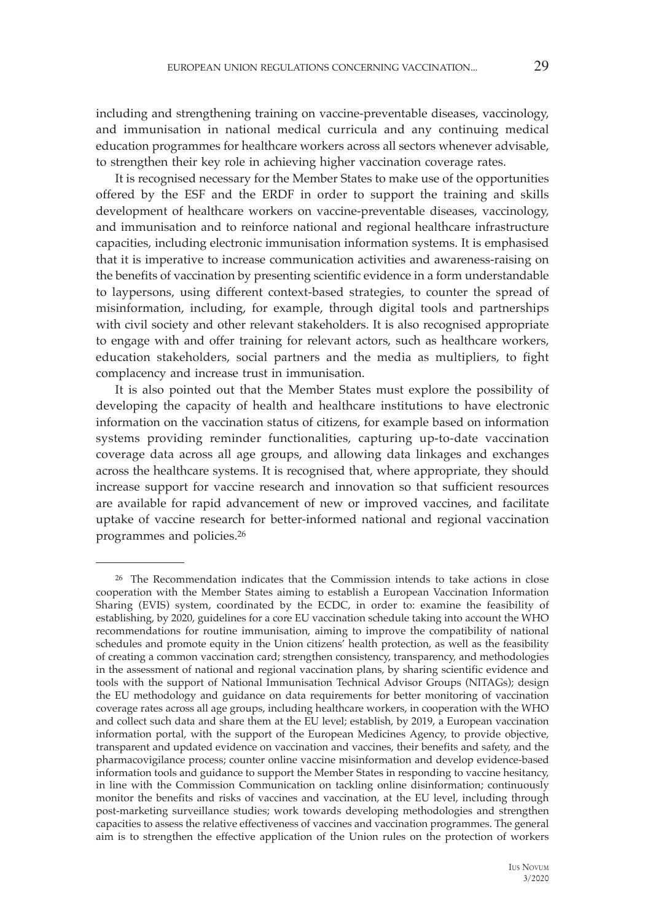including and strengthening training on vaccine-preventable diseases, vaccinology, and immunisation in national medical curricula and any continuing medical education programmes for healthcare workers across all sectors whenever advisable, to strengthen their key role in achieving higher vaccination coverage rates.

It is recognised necessary for the Member States to make use of the opportunities offered by the ESF and the ERDF in order to support the training and skills development of healthcare workers on vaccine-preventable diseases, vaccinology, and immunisation and to reinforce national and regional healthcare infrastructure capacities, including electronic immunisation information systems. It is emphasised that it is imperative to increase communication activities and awareness-raising on the benefits of vaccination by presenting scientific evidence in a form understandable to laypersons, using different context-based strategies, to counter the spread of misinformation, including, for example, through digital tools and partnerships with civil society and other relevant stakeholders. It is also recognised appropriate to engage with and offer training for relevant actors, such as healthcare workers, education stakeholders, social partners and the media as multipliers, to fight complacency and increase trust in immunisation.

It is also pointed out that the Member States must explore the possibility of developing the capacity of health and healthcare institutions to have electronic information on the vaccination status of citizens, for example based on information systems providing reminder functionalities, capturing up-to-date vaccination coverage data across all age groups, and allowing data linkages and exchanges across the healthcare systems. It is recognised that, where appropriate, they should increase support for vaccine research and innovation so that sufficient resources are available for rapid advancement of new or improved vaccines, and facilitate uptake of vaccine research for better-informed national and regional vaccination programmes and policies.26

<sup>26</sup> The Recommendation indicates that the Commission intends to take actions in close cooperation with the Member States aiming to establish a European Vaccination Information Sharing (EVIS) system, coordinated by the ECDC, in order to: examine the feasibility of establishing, by 2020, guidelines for a core EU vaccination schedule taking into account the WHO recommendations for routine immunisation, aiming to improve the compatibility of national schedules and promote equity in the Union citizens' health protection, as well as the feasibility of creating a common vaccination card; strengthen consistency, transparency, and methodologies in the assessment of national and regional vaccination plans, by sharing scientific evidence and tools with the support of National Immunisation Technical Advisor Groups (NITAGs); design the EU methodology and guidance on data requirements for better monitoring of vaccination coverage rates across all age groups, including healthcare workers, in cooperation with the WHO and collect such data and share them at the EU level; establish, by 2019, a European vaccination information portal, with the support of the European Medicines Agency, to provide objective, transparent and updated evidence on vaccination and vaccines, their benefits and safety, and the pharmacovigilance process; counter online vaccine misinformation and develop evidence-based information tools and guidance to support the Member States in responding to vaccine hesitancy, in line with the Commission Communication on tackling online disinformation; continuously monitor the benefits and risks of vaccines and vaccination, at the EU level, including through post-marketing surveillance studies; work towards developing methodologies and strengthen capacities to assess the relative effectiveness of vaccines and vaccination programmes. The general aim is to strengthen the effective application of the Union rules on the protection of workers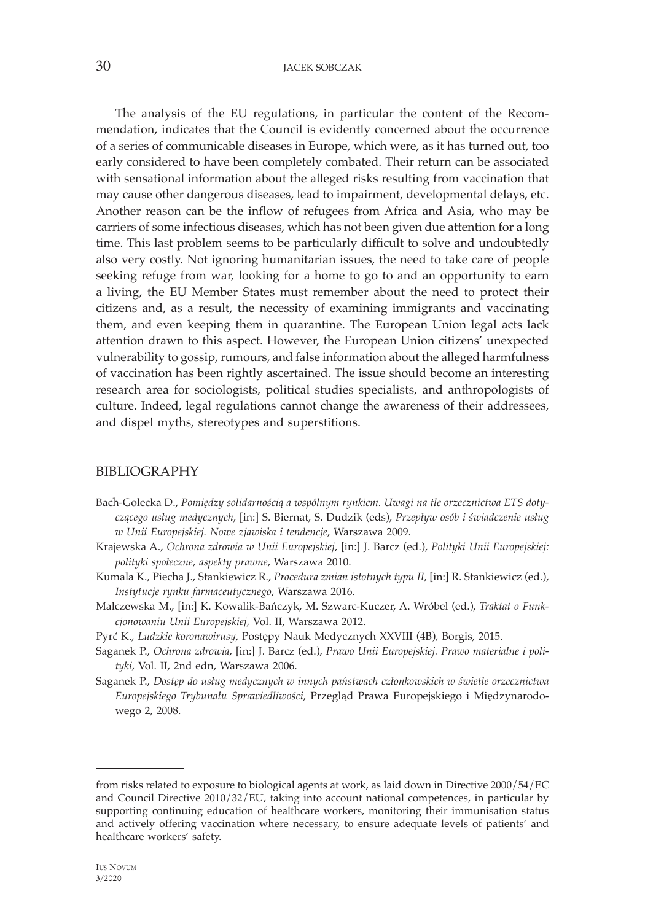30 **JACEK SOBCZAK** 

The analysis of the EU regulations, in particular the content of the Recommendation, indicates that the Council is evidently concerned about the occurrence of a series of communicable diseases in Europe, which were, as it has turned out, too early considered to have been completely combated. Their return can be associated with sensational information about the alleged risks resulting from vaccination that may cause other dangerous diseases, lead to impairment, developmental delays, etc. Another reason can be the inflow of refugees from Africa and Asia, who may be carriers of some infectious diseases, which has not been given due attention for a long time. This last problem seems to be particularly difficult to solve and undoubtedly also very costly. Not ignoring humanitarian issues, the need to take care of people seeking refuge from war, looking for a home to go to and an opportunity to earn a living, the EU Member States must remember about the need to protect their citizens and, as a result, the necessity of examining immigrants and vaccinating them, and even keeping them in quarantine. The European Union legal acts lack attention drawn to this aspect. However, the European Union citizens' unexpected vulnerability to gossip, rumours, and false information about the alleged harmfulness of vaccination has been rightly ascertained. The issue should become an interesting research area for sociologists, political studies specialists, and anthropologists of culture. Indeed, legal regulations cannot change the awareness of their addressees, and dispel myths, stereotypes and superstitions.

### BIBLIOGRAPHY

- Bach-Golecka D., *Pomiędzy solidarnością a wspólnym rynkiem. Uwagi na tle orzecznictwa ETS dotyczącego usług medycznych*, [in:] S. Biernat, S. Dudzik (eds), *Przepływ osób i świadczenie usług w Unii Europejskiej. Nowe zjawiska i tendencje*, Warszawa 2009.
- Krajewska A., *Ochrona zdrowia w Unii Europejskiej*, [in:] J. Barcz (ed.), *Polityki Unii Europejskiej: polityki społeczne, aspekty prawne*, Warszawa 2010.
- Kumala K., Piecha J., Stankiewicz R., *Procedura zmian istotnych typu II*, [in:] R. Stankiewicz (ed.), *Instytucje rynku farmaceutycznego*, Warszawa 2016.
- Malczewska M., [in:] K. Kowalik-Bańczyk, M. Szwarc-Kuczer, A. Wróbel (ed.), *Traktat o Funkcjonowaniu Unii Europejskiej*, Vol. II, Warszawa 2012.
- Pyrć K., *Ludzkie koronawirusy*, Postępy Nauk Medycznych XXVIII (4B), Borgis, 2015.
- Saganek P., *Ochrona zdrowia*, [in:] J. Barcz (ed.), *Prawo Unii Europejskiej. Prawo materialne i polityki*, Vol. II, 2nd edn, Warszawa 2006.
- Saganek P., *Dostęp do usług medycznych w innych państwach członkowskich w świetle orzecznictwa Europejskiego Trybunału Sprawiedliwości*, Przegląd Prawa Europejskiego i Międzynarodowego 2, 2008.

from risks related to exposure to biological agents at work, as laid down in Directive 2000/54/EC and Council Directive 2010/32/EU, taking into account national competences, in particular by supporting continuing education of healthcare workers, monitoring their immunisation status and actively offering vaccination where necessary, to ensure adequate levels of patients' and healthcare workers' safety.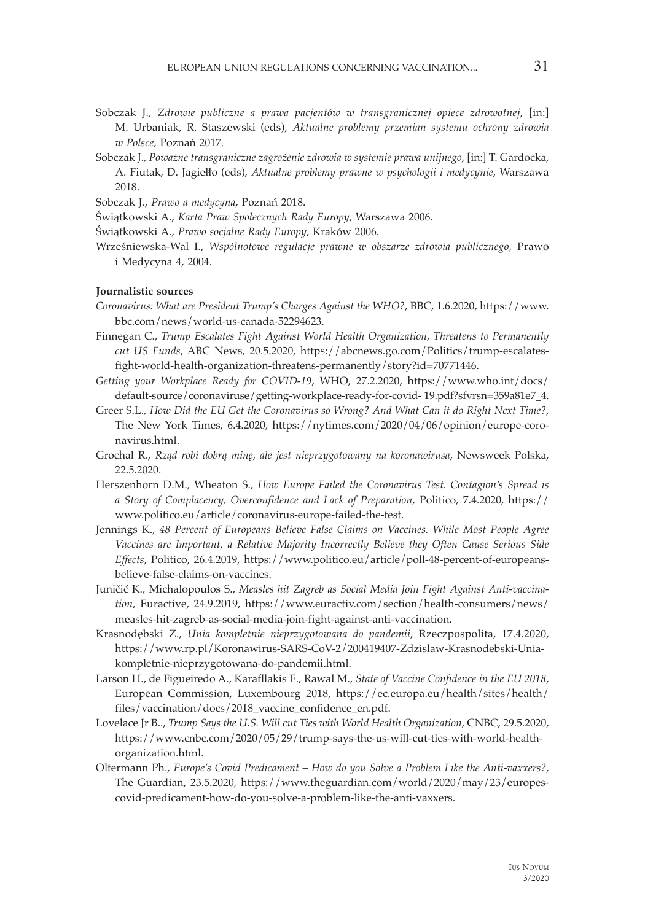- Sobczak J., *Zdrowie publiczne a prawa pacjentów w transgranicznej opiece zdrowotnej*, [in:] M. Urbaniak, R. Staszewski (eds), *Aktualne problemy przemian systemu ochrony zdrowia w Polsce*, Poznań 2017.
- Sobczak J., *Poważne transgraniczne zagrożenie zdrowia w systemie prawa unijnego*, [in:] T. Gardocka, A. Fiutak, D. Jagiełło (eds), *Aktualne problemy prawne w psychologii i medycynie*, Warszawa 2018.
- Sobczak J., *Prawo a medycyna*, Poznań 2018.
- Świątkowski A., *Karta Praw Społecznych Rady Europy*, Warszawa 2006.
- Świątkowski A., *Prawo socjalne Rady Europy*, Kraków 2006.
- Wrześniewska-Wal I., *Wspólnotowe regulacje prawne w obszarze zdrowia publicznego*, Prawo i Medycyna 4, 2004.

#### **Journalistic sources**

- *Coronavirus: What are President Trump's Charges Against the WHO?*, BBC, 1.6.2020, https://www. bbc.com/news/world-us-canada-52294623.
- Finnegan C., *Trump Escalates Fight Against World Health Organization, Threatens to Permanently cut US Funds*, ABC News, 20.5.2020, https://abcnews.go.com/Politics/trump-escalatesfight-world-health-organization-threatens-permanently/story?id=70771446.
- *Getting your Workplace Ready for COVID-19*, WHO, 27.2.2020, https://www.who.int/docs/ default-source/coronaviruse/getting-workplace-ready-for-covid- 19.pdf?sfvrsn=359a81e7\_4.
- Greer S.L., *How Did the EU Get the Coronavirus so Wrong? And What Can it do Right Next Time?*, The New York Times, 6.4.2020, https://nytimes.com/2020/04/06/opinion/europe-coronavirus.html.
- Grochal R., *Rząd robi dobrą minę, ale jest nieprzygotowany na koronawirusa*, Newsweek Polska, 22.5.2020.
- Herszenhorn D.M., Wheaton S., *How Europe Failed the Coronavirus Test. Contagion's Spread is a Story of Complacency, Overconfidence and Lack of Preparation*, Politico, 7.4.2020, https:// www.politico.eu/article/coronavirus-europe-failed-the-test.
- Jennings K., *48 Percent of Europeans Believe False Claims on Vaccines. While Most People Agree Vaccines are Important, a Relative Majority Incorrectly Believe they Often Cause Serious Side Effects*, Politico, 26.4.2019, https://www.politico.eu/article/poll-48-percent-of-europeansbelieve-false-claims-on-vaccines.
- Juničić K., Michalopoulos S., *Measles hit Zagreb as Social Media Join Fight Against Anti-vaccination*, Euractive, 24.9.2019, https://www.euractiv.com/section/health-consumers/news/ measles-hit-zagreb-as-social-media-join-fight-against-anti-vaccination.
- Krasnodębski Z., *Unia kompletnie nieprzygotowana do pandemii*, Rzeczpospolita, 17.4.2020, https://www.rp.pl/Koronawirus-SARS-CoV-2/200419407-Zdzislaw-Krasnodebski-Uniakompletnie-nieprzygotowana-do-pandemii.html.
- Larson H., de Figueiredo A., Karafllakis E., Rawal M., *State of Vaccine Confidence in the EU 2018*, European Commission, Luxembourg 2018, https://ec.europa.eu/health/sites/health/ files/vaccination/docs/2018\_vaccine\_confidence\_en.pdf.
- Lovelace Jr B.., *Trump Says the U.S. Will cut Ties with World Health Organization*, CNBC, 29.5.2020, https://www.cnbc.com/2020/05/29/trump-says-the-us-will-cut-ties-with-world-healthorganization.html.
- Oltermann Ph., *Europe's Covid Predicament How do you Solve a Problem Like the Anti-vaxxers?*, The Guardian, 23.5.2020, https://www.theguardian.com/world/2020/may/23/europescovid-predicament-how-do-you-solve-a-problem-like-the-anti-vaxxers.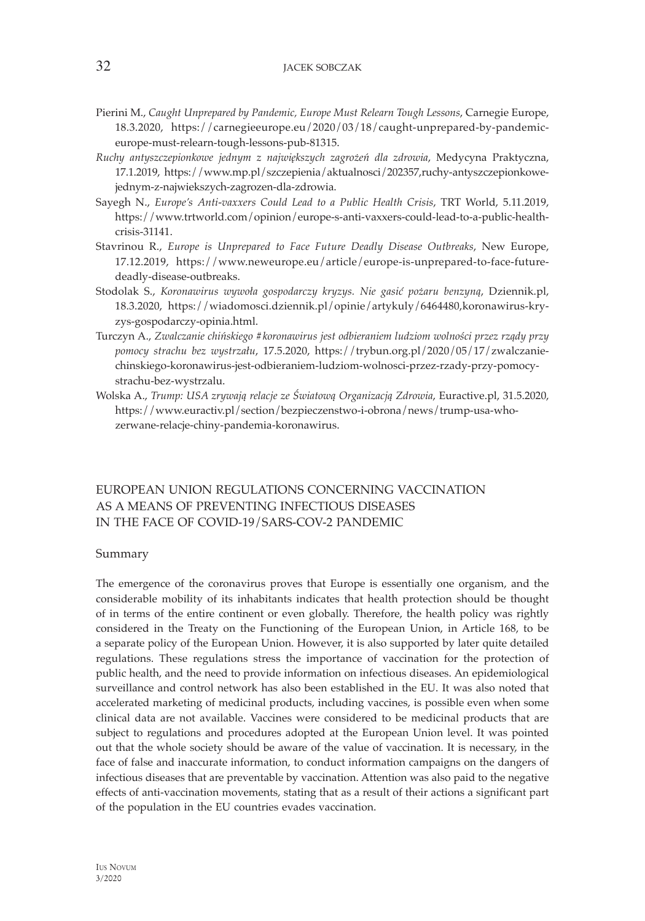- Pierini M., *Caught Unprepared by Pandemic, Europe Must Relearn Tough Lessons*, Carnegie Europe, 18.3.2020, https://carnegieeurope.eu/2020/03/18/caught-unprepared-by-pandemiceurope-must-relearn-tough-lessons-pub-81315.
- *Ruchy antyszczepionkowe jednym z największych zagrożeń dla zdrowia*, Medycyna Praktyczna, 17.1.2019, https://www.mp.pl/szczepienia/aktualnosci/202357,ruchy-antyszczepionkowejednym-z-najwiekszych-zagrozen-dla-zdrowia.
- Sayegh N., *Europe's Anti-vaxxers Could Lead to a Public Health Crisis*, TRT World, 5.11.2019, https://www.trtworld.com/opinion/europe-s-anti-vaxxers-could-lead-to-a-public-healthcrisis-31141.
- Stavrinou R., *Europe is Unprepared to Face Future Deadly Disease Outbreaks*, New Europe, 17.12.2019, https://www.neweurope.eu/article/europe-is-unprepared-to-face-futuredeadly-disease-outbreaks.
- Stodolak S., *Koronawirus wywoła gospodarczy kryzys. Nie gasić pożaru benzyną*, Dziennik.pl, 18.3.2020, https://wiadomosci.dziennik.pl/opinie/artykuly/6464480,koronawirus-kryzys-gospodarczy-opinia.html.
- Turczyn A., *Zwalczanie chińskiego #koronawirus jest odbieraniem ludziom wolności przez rządy przy pomocy strachu bez wystrzału*, 17.5.2020, https://trybun.org.pl/2020/05/17/zwalczaniechinskiego-koronawirus-jest-odbieraniem-ludziom-wolnosci-przez-rzady-przy-pomocystrachu-bez-wystrzalu.
- Wolska A., *Trump: USA zrywają relacje ze Światową Organizacją Zdrowia*, Euractive.pl, 31.5.2020, https://www.euractiv.pl/section/bezpieczenstwo-i-obrona/news/trump-usa-whozerwane-relacje-chiny-pandemia-koronawirus.

# EUROPEAN UNION REGULATIONS CONCERNING VACCINATION AS A MEANS OF PREVENTING INFECTIOUS DISEASES IN THE FACE OF COVID-19/SARS-COV-2 PANDEMIC

#### Summary

The emergence of the coronavirus proves that Europe is essentially one organism, and the considerable mobility of its inhabitants indicates that health protection should be thought of in terms of the entire continent or even globally. Therefore, the health policy was rightly considered in the Treaty on the Functioning of the European Union, in Article 168, to be a separate policy of the European Union. However, it is also supported by later quite detailed regulations. These regulations stress the importance of vaccination for the protection of public health, and the need to provide information on infectious diseases. An epidemiological surveillance and control network has also been established in the EU. It was also noted that accelerated marketing of medicinal products, including vaccines, is possible even when some clinical data are not available. Vaccines were considered to be medicinal products that are subject to regulations and procedures adopted at the European Union level. It was pointed out that the whole society should be aware of the value of vaccination. It is necessary, in the face of false and inaccurate information, to conduct information campaigns on the dangers of infectious diseases that are preventable by vaccination. Attention was also paid to the negative effects of anti-vaccination movements, stating that as a result of their actions a significant part of the population in the EU countries evades vaccination.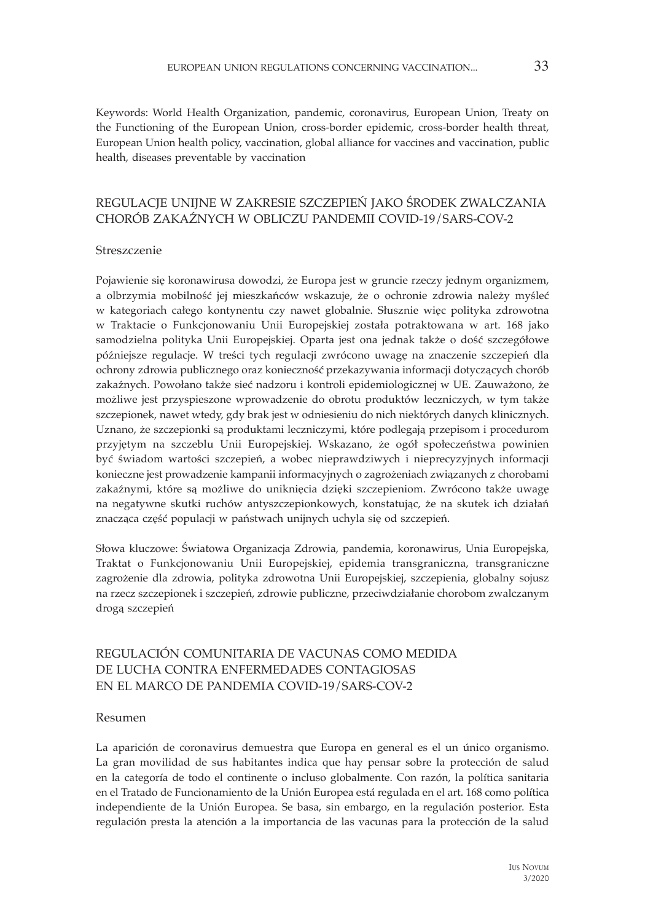Keywords: World Health Organization, pandemic, coronavirus, European Union, Treaty on the Functioning of the European Union, cross-border epidemic, cross-border health threat, European Union health policy, vaccination, global alliance for vaccines and vaccination, public health, diseases preventable by vaccination

# REGULACJE UNIJNE W ZAKRESIE SZCZEPIEŃ JAKO ŚRODEK ZWALCZANIA CHORÓB ZAKAŹNYCH W OBLICZU PANDEMII COVID-19/SARS-COV-2

#### Streszczenie

Pojawienie się koronawirusa dowodzi, że Europa jest w gruncie rzeczy jednym organizmem, a olbrzymia mobilność jej mieszkańców wskazuje, że o ochronie zdrowia należy myśleć w kategoriach całego kontynentu czy nawet globalnie. Słusznie więc polityka zdrowotna w Traktacie o Funkcjonowaniu Unii Europejskiej została potraktowana w art. 168 jako samodzielna polityka Unii Europejskiej. Oparta jest ona jednak także o dość szczegółowe późniejsze regulacje. W treści tych regulacji zwrócono uwagę na znaczenie szczepień dla ochrony zdrowia publicznego oraz konieczność przekazywania informacji dotyczących chorób zakaźnych. Powołano także sieć nadzoru i kontroli epidemiologicznej w UE. Zauważono, że możliwe jest przyspieszone wprowadzenie do obrotu produktów leczniczych, w tym także szczepionek, nawet wtedy, gdy brak jest w odniesieniu do nich niektórych danych klinicznych. Uznano, że szczepionki są produktami leczniczymi, które podlegają przepisom i procedurom przyjętym na szczeblu Unii Europejskiej. Wskazano, że ogół społeczeństwa powinien być świadom wartości szczepień, a wobec nieprawdziwych i nieprecyzyjnych informacji konieczne jest prowadzenie kampanii informacyjnych o zagrożeniach związanych z chorobami zakaźnymi, które są możliwe do uniknięcia dzięki szczepieniom. Zwrócono także uwagę na negatywne skutki ruchów antyszczepionkowych, konstatując, że na skutek ich działań znacząca część populacji w państwach unijnych uchyla się od szczepień.

Słowa kluczowe: Światowa Organizacja Zdrowia, pandemia, koronawirus, Unia Europejska, Traktat o Funkcjonowaniu Unii Europejskiej, epidemia transgraniczna, transgraniczne zagrożenie dla zdrowia, polityka zdrowotna Unii Europejskiej, szczepienia, globalny sojusz na rzecz szczepionek i szczepień, zdrowie publiczne, przeciwdziałanie chorobom zwalczanym drogą szczepień

# REGULACIÓN COMUNITARIA DE VACUNAS COMO MEDIDA DE LUCHA CONTRA ENFERMEDADES CONTAGIOSAS EN EL MARCO DE PANDEMIA COVID-19/SARS-COV-2

#### Resumen

La aparición de coronavirus demuestra que Europa en general es el un único organismo. La gran movilidad de sus habitantes indica que hay pensar sobre la protección de salud en la categoría de todo el continente o incluso globalmente. Con razón, la política sanitaria en el Tratado de Funcionamiento de la Unión Europea está regulada en el art. 168 como política independiente de la Unión Europea. Se basa, sin embargo, en la regulación posterior. Esta regulación presta la atención a la importancia de las vacunas para la protección de la salud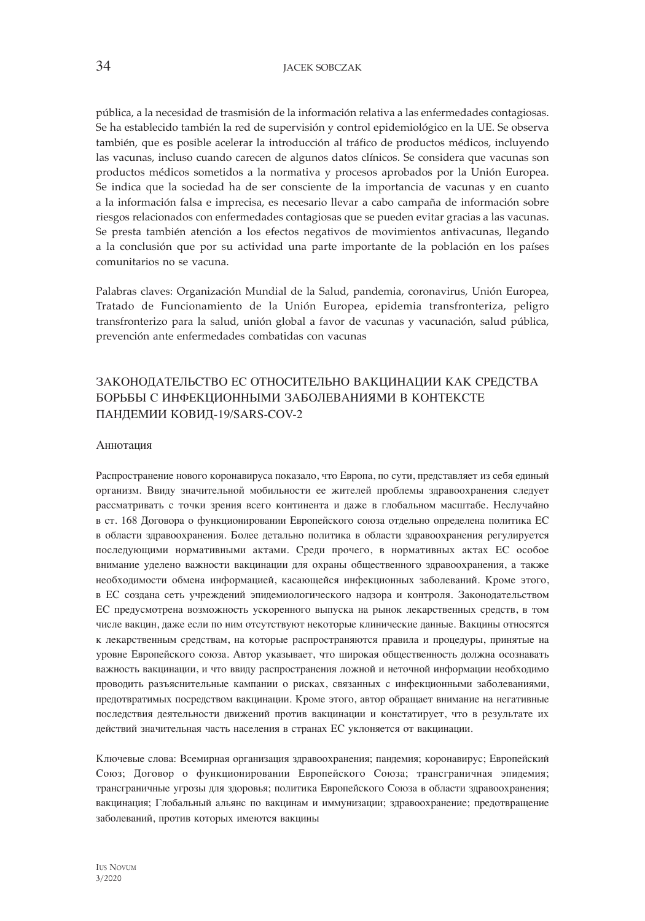pública, a la necesidad de trasmisión de la información relativa a las enfermedades contagiosas. Se ha establecido también la red de supervisión y control epidemiológico en la UE. Se observa también, que es posible acelerar la introducción al tráfico de productos médicos, incluyendo las vacunas, incluso cuando carecen de algunos datos clínicos. Se considera que vacunas son productos médicos sometidos a la normativa y procesos aprobados por la Unión Europea. Se indica que la sociedad ha de ser consciente de la importancia de vacunas y en cuanto a la información falsa e imprecisa, es necesario llevar a cabo campaña de información sobre riesgos relacionados con enfermedades contagiosas que se pueden evitar gracias a las vacunas. Se presta también atención a los efectos negativos de movimientos antivacunas, llegando a la conclusión que por su actividad una parte importante de la población en los países comunitarios no se vacuna.

Palabras claves: Organización Mundial de la Salud, pandemia, coronavirus, Unión Europea, Tratado de Funcionamiento de la Unión Europea, epidemia transfronteriza, peligro transfronterizo para la salud, unión global a favor de vacunas y vacunación, salud pública, prevención ante enfermedades combatidas con vacunas

# ЗАКОНОДАТЕЛЬСТВО ЕС ОТНОСИТЕЛЬНО ВАКЦИНАЦИИ КАК СРЕДСТВА БОРЬБЫ С ИНФЕКЦИОННЫМИ ЗАБОЛЕВАНИЯМИ В КОНТЕКСТЕ ПАНДЕМИИ КОВИД-19/SARS-COV-2

#### Аннотация

Распространение нового коронавируса показало, что Европа, по сути, представляет из себя единый организм. Ввиду значительной мобильности ее жителей проблемы здравоохранения следует рассматривать с точки зрения всего континента и даже в глобальном масштабе. Неслучайно в ст. 168 Договора о функционировании Европейского союза отдельно определена политика ЕС в области здравоохранения. Более детально политика в области здравоохранения регулируется последующими нормативными актами. Среди прочего, в нормативных актах ЕС особое внимание уделено важности вакцинации для охраны общественного здравоохранения, а также необходимости обмена информацией, касающейся инфекционных заболеваний. Кроме этого, в ЕС создана сеть учреждений эпидемиологического надзора и контроля. Законодательством ЕС предусмотрена возможность ускоренного выпуска на рынок лекарственных средств, в том числе вакцин, даже если по ним отсутствуют некоторые клинические данные. Вакцины относятся к лекарственным средствам, на которые распространяются правила и процедуры, принятые на уровне Европейского союза. Автор указывает, что широкая общественность должна осознавать важность вакцинации, и что ввиду распространения ложной и неточной информации необходимо проводить разъяснительные кампании о рисках, связанных с инфекционными заболеваниями, предотвратимых посредством вакцинации. Кроме этого, автор обращает внимание на негативные последствия деятельности движений против вакцинации и констатирует, что в результате их действий значительная часть населения в странах ЕС уклоняется от вакцинации.

Ключевые слова: Всемирная организация здравоохранения; пандемия; коронавирус; Европейский Союз; Договор о функционировании Европейского Союза; трансграничная эпидемия; трансграничные угрозы для здоровья; политика Европейского Союза в области здравоохранения; вакцинация; Глобальный альянс по вакцинам и иммунизации; здравоохранение; предотвращение заболеваний, против которых имеются вакцины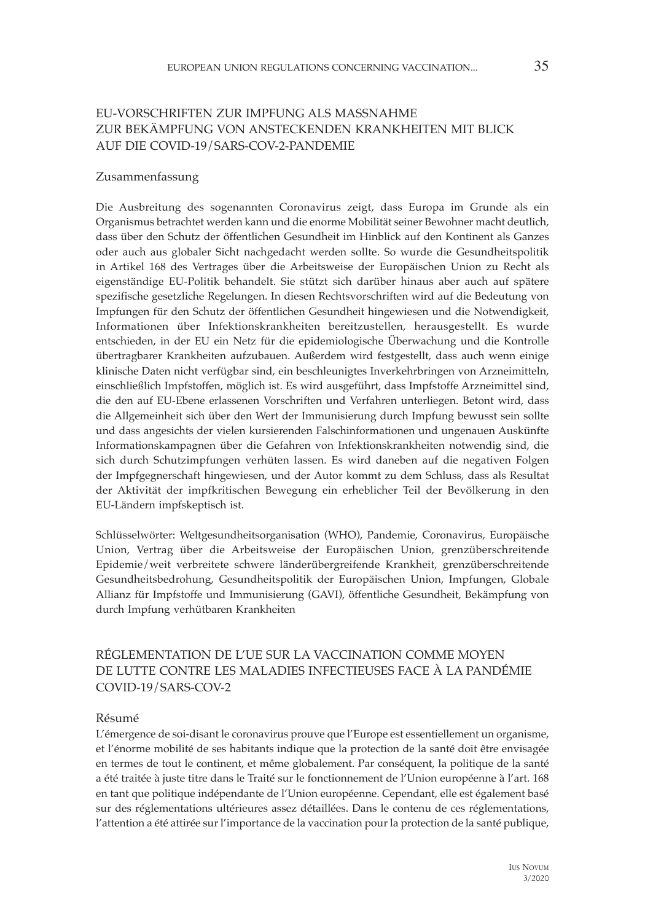# EU-VORSCHRIFTEN ZUR IMPFUNG ALS MASSNAHME ZUR BEKÄMPFUNG VON ANSTECKENDEN KRANKHEITEN MIT BLICK AUF DIE COVID-19/SARS-COV-2-PANDEMIE

#### Zusammenfassung

Die Ausbreitung des sogenannten Coronavirus zeigt, dass Europa im Grunde als ein Organismus betrachtet werden kann und die enorme Mobilität seiner Bewohner macht deutlich, dass über den Schutz der öffentlichen Gesundheit im Hinblick auf den Kontinent als Ganzes oder auch aus globaler Sicht nachgedacht werden sollte. So wurde die Gesundheitspolitik in Artikel 168 des Vertrages über die Arbeitsweise der Europäischen Union zu Recht als eigenständige EU-Politik behandelt. Sie stützt sich darüber hinaus aber auch auf spätere spezifische gesetzliche Regelungen. In diesen Rechtsvorschriften wird auf die Bedeutung von Impfungen für den Schutz der öffentlichen Gesundheit hingewiesen und die Notwendigkeit, Informationen über Infektionskrankheiten bereitzustellen, herausgestellt. Es wurde entschieden, in der EU ein Netz für die epidemiologische Überwachung und die Kontrolle übertragbarer Krankheiten aufzubauen. Außerdem wird festgestellt, dass auch wenn einige klinische Daten nicht verfügbar sind, ein beschleunigtes Inverkehrbringen von Arzneimitteln, einschließlich Impfstoffen, möglich ist. Es wird ausgeführt, dass Impfstoffe Arzneimittel sind, die den auf EU-Ebene erlassenen Vorschriften und Verfahren unterliegen. Betont wird, dass die Allgemeinheit sich über den Wert der Immunisierung durch Impfung bewusst sein sollte und dass angesichts der vielen kursierenden Falschinformationen und ungenauen Auskünfte Informationskampagnen über die Gefahren von Infektionskrankheiten notwendig sind, die sich durch Schutzimpfungen verhüten lassen. Es wird daneben auf die negativen Folgen der Impfgegnerschaft hingewiesen, und der Autor kommt zu dem Schluss, dass als Resultat der Aktivität der impfkritischen Bewegung ein erheblicher Teil der Bevölkerung in den EU-Ländern impfskeptisch ist.

Schlüsselwörter: Weltgesundheitsorganisation (WHO), Pandemie, Coronavirus, Europäische Union, Vertrag über die Arbeitsweise der Europäischen Union, grenzüberschreitende Epidemie/weit verbreitete schwere länderübergreifende Krankheit, grenzüberschreitende Gesundheitsbedrohung, Gesundheitspolitik der Europäischen Union, Impfungen, Globale Allianz für Impfstoffe und Immunisierung (GAVI), öffentliche Gesundheit, Bekämpfung von durch Impfung verhütbaren Krankheiten

# RÉGLEMENTATION DE L'UE SUR LA VACCINATION COMME MOYEN DE LUTTE CONTRE LES MALADIES INFECTIEUSES FACE À LA PANDÉMIE COVID-19/SARS-COV-2

#### Résumé

L'émergence de soi-disant le coronavirus prouve que l'Europe est essentiellement un organisme, et l'énorme mobilité de ses habitants indique que la protection de la santé doit être envisagée en termes de tout le continent, et même globalement. Par conséquent, la politique de la santé a été traitée à juste titre dans le Traité sur le fonctionnement de l'Union européenne à l'art. 168 en tant que politique indépendante de l'Union européenne. Cependant, elle est également basé sur des réglementations ultérieures assez détaillées. Dans le contenu de ces réglementations, l'attention a été attirée sur l'importance de la vaccination pour la protection de la santé publique,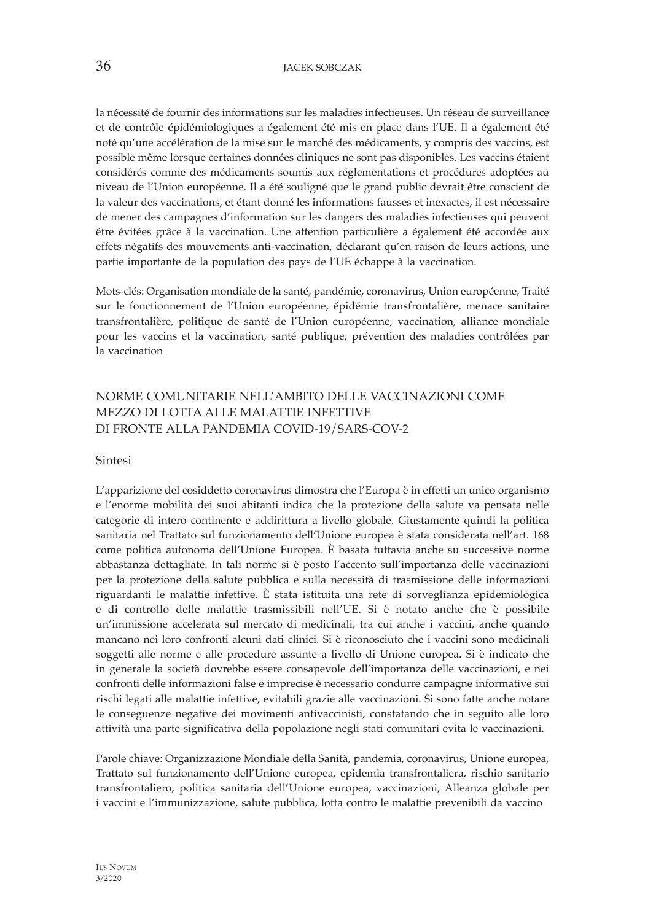la nécessité de fournir des informations sur les maladies infectieuses. Un réseau de surveillance et de contrôle épidémiologiques a également été mis en place dans l'UE. Il a également été noté qu'une accélération de la mise sur le marché des médicaments, y compris des vaccins, est possible même lorsque certaines données cliniques ne sont pas disponibles. Les vaccins étaient considérés comme des médicaments soumis aux réglementations et procédures adoptées au niveau de l'Union européenne. Il a été souligné que le grand public devrait être conscient de la valeur des vaccinations, et étant donné les informations fausses et inexactes, il est nécessaire de mener des campagnes d'information sur les dangers des maladies infectieuses qui peuvent être évitées grâce à la vaccination. Une attention particulière a également été accordée aux effets négatifs des mouvements anti-vaccination, déclarant qu'en raison de leurs actions, une partie importante de la population des pays de l'UE échappe à la vaccination.

Mots-clés: Organisation mondiale de la santé, pandémie, coronavirus, Union européenne, Traité sur le fonctionnement de l'Union européenne, épidémie transfrontalière, menace sanitaire transfrontalière, politique de santé de l'Union européenne, vaccination, alliance mondiale pour les vaccins et la vaccination, santé publique, prévention des maladies contrôlées par la vaccination

# NORME COMUNITARIE NELL'AMBITO DELLE VACCINAZIONI COME MEZZO DI LOTTA ALLE MALATTIE INFETTIVE DI FRONTE ALLA PANDEMIA COVID-19/SARS-COV-2

#### Sintesi

L'apparizione del cosiddetto coronavirus dimostra che l'Europa è in effetti un unico organismo e l'enorme mobilità dei suoi abitanti indica che la protezione della salute va pensata nelle categorie di intero continente e addirittura a livello globale. Giustamente quindi la politica sanitaria nel Trattato sul funzionamento dell'Unione europea è stata considerata nell'art. 168 come politica autonoma dell'Unione Europea. È basata tuttavia anche su successive norme abbastanza dettagliate. In tali norme si è posto l'accento sull'importanza delle vaccinazioni per la protezione della salute pubblica e sulla necessità di trasmissione delle informazioni riguardanti le malattie infettive. È stata istituita una rete di sorveglianza epidemiologica e di controllo delle malattie trasmissibili nell'UE. Si è notato anche che è possibile un'immissione accelerata sul mercato di medicinali, tra cui anche i vaccini, anche quando mancano nei loro confronti alcuni dati clinici. Si è riconosciuto che i vaccini sono medicinali soggetti alle norme e alle procedure assunte a livello di Unione europea. Si è indicato che in generale la società dovrebbe essere consapevole dell'importanza delle vaccinazioni, e nei confronti delle informazioni false e imprecise è necessario condurre campagne informative sui rischi legati alle malattie infettive, evitabili grazie alle vaccinazioni. Si sono fatte anche notare le conseguenze negative dei movimenti antivaccinisti, constatando che in seguito alle loro attività una parte significativa della popolazione negli stati comunitari evita le vaccinazioni.

Parole chiave: Organizzazione Mondiale della Sanità, pandemia, coronavirus, Unione europea, Trattato sul funzionamento dell'Unione europea, epidemia transfrontaliera, rischio sanitario transfrontaliero, politica sanitaria dell'Unione europea, vaccinazioni, Alleanza globale per i vaccini e l'immunizzazione, salute pubblica, lotta contro le malattie prevenibili da vaccino